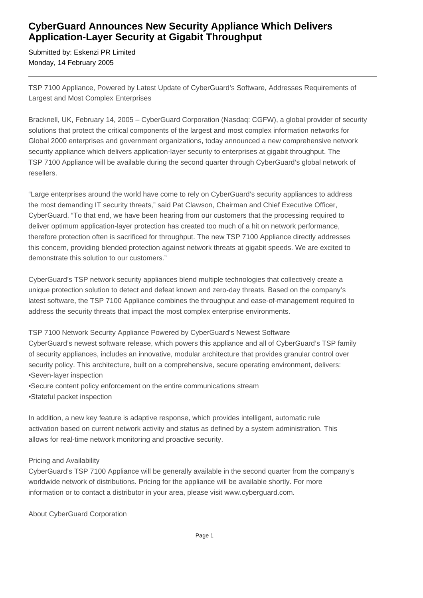## **CyberGuard Announces New Security Appliance Which Delivers Application-Layer Security at Gigabit Throughput**

Submitted by: Eskenzi PR Limited Monday, 14 February 2005

TSP 7100 Appliance, Powered by Latest Update of CyberGuard's Software, Addresses Requirements of Largest and Most Complex Enterprises

Bracknell, UK, February 14, 2005 – CyberGuard Corporation (Nasdaq: CGFW), a global provider of security solutions that protect the critical components of the largest and most complex information networks for Global 2000 enterprises and government organizations, today announced a new comprehensive network security appliance which delivers application-layer security to enterprises at gigabit throughput. The TSP 7100 Appliance will be available during the second quarter through CyberGuard's global network of resellers.

"Large enterprises around the world have come to rely on CyberGuard's security appliances to address the most demanding IT security threats," said Pat Clawson, Chairman and Chief Executive Officer, CyberGuard. "To that end, we have been hearing from our customers that the processing required to deliver optimum application-layer protection has created too much of a hit on network performance, therefore protection often is sacrificed for throughput. The new TSP 7100 Appliance directly addresses this concern, providing blended protection against network threats at gigabit speeds. We are excited to demonstrate this solution to our customers."

CyberGuard's TSP network security appliances blend multiple technologies that collectively create a unique protection solution to detect and defeat known and zero-day threats. Based on the company's latest software, the TSP 7100 Appliance combines the throughput and ease-of-management required to address the security threats that impact the most complex enterprise environments.

TSP 7100 Network Security Appliance Powered by CyberGuard's Newest Software

CyberGuard's newest software release, which powers this appliance and all of CyberGuard's TSP family of security appliances, includes an innovative, modular architecture that provides granular control over security policy. This architecture, built on a comprehensive, secure operating environment, delivers:

- Seven-layer inspection
- • Secure content policy enforcement on the entire communications stream
- • Stateful packet inspection

In addition, a new key feature is adaptive response, which provides intelligent, automatic rule activation based on current network activity and status as defined by a system administration. This allows for real-time network monitoring and proactive security.

## Pricing and Availability

CyberGuard's TSP 7100 Appliance will be generally available in the second quarter from the company's worldwide network of distributions. Pricing for the appliance will be available shortly. For more information or to contact a distributor in your area, please visit www.cyberguard.com.

About CyberGuard Corporation